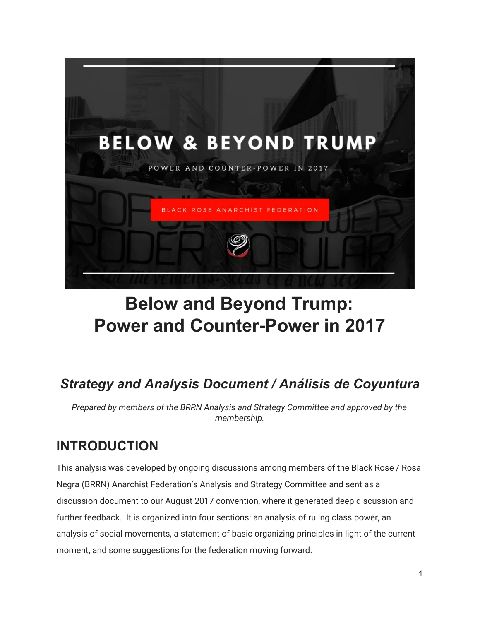

# **Below and Beyond Trump: Power and Counter-Power in 2017**

# *Strategy and Analysis Document / Análisis de Coyuntura*

*Prepared by members of the BRRN Analysis and Strategy Committee and approved by the membership.*

## **INTRODUCTION**

This analysis was developed by ongoing discussions among members of the Black Rose / Rosa Negra (BRRN) Anarchist Federation's Analysis and Strategy Committee and sent as a discussion document to our August 2017 convention, where it generated deep discussion and further feedback. It is organized into four sections: an analysis of ruling class power, an analysis of social movements, a statement of basic organizing principles in light of the current moment, and some suggestions for the federation moving forward.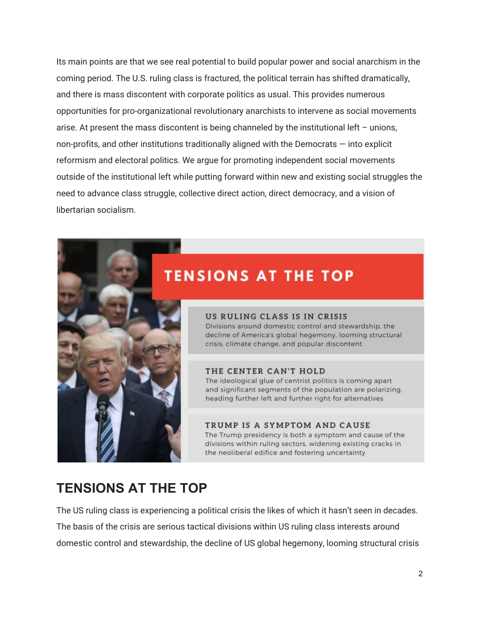Its main points are that we see real potential to build popular power and social anarchism in the coming period. The U.S. ruling class is fractured, the political terrain has shifted dramatically, and there is mass discontent with corporate politics as usual. This provides numerous opportunities for pro-organizational revolutionary anarchists to intervene as social movements arise. At present the mass discontent is being channeled by the institutional left – unions, non-profits, and other institutions traditionally aligned with the Democrats — into explicit reformism and electoral politics. We argue for promoting independent social movements outside of the institutional left while putting forward within new and existing social struggles the need to advance class struggle, collective direct action, direct democracy, and a vision of libertarian socialism.

## **TENSIONS AT THE TOP**

### US RULING CLASS IS IN CRISIS

Divisions around domestic control and stewardship, the decline of America's global hegemony, looming structural crisis, climate change, and popular discontent

### THE CENTER CAN'T HOLD

The ideological glue of centrist politics is coming apart and significant segments of the population are polarizing. heading further left and further right for alternatives

#### TRUMP IS A SYMPTOM AND CAUSE

The Trump presidency is both a symptom and cause of the divisions within ruling sectors, widening existing cracks in the neoliberal edifice and fostering uncertainty

## **TENSIONS AT THE TOP**

The US ruling class is experiencing a political crisis the likes of which it hasn't seen in decades. The basis of the crisis are serious tactical divisions within US ruling class interests around domestic control and stewardship, the decline of US global hegemony, looming structural crisis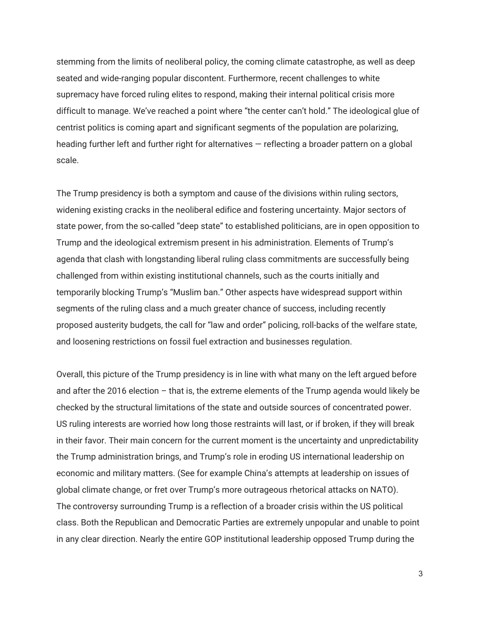stemming from the limits of neoliberal policy, the coming climate catastrophe, as well as deep seated and wide-ranging popular discontent. Furthermore, recent challenges to white supremacy have forced ruling elites to respond, making their internal political crisis more difficult to manage. We've reached a point where "the center can't hold." The ideological glue of centrist politics is coming apart and significant segments of the population are polarizing, heading further left and further right for alternatives — reflecting a broader pattern on a global scale.

The Trump presidency is both a symptom and cause of the divisions within ruling sectors, widening existing cracks in the neoliberal edifice and fostering uncertainty. Major sectors of state power, from the so-called "deep state" to established politicians, are in open opposition to Trump and the ideological extremism present in his administration. Elements of Trump's agenda that clash with longstanding liberal ruling class commitments are successfully being challenged from within existing institutional channels, such as the courts initially and temporarily blocking Trump's "Muslim ban." Other aspects have widespread support within segments of the ruling class and a much greater chance of success, including recently proposed austerity budgets, the call for "law and order" policing, roll-backs of the welfare state, and loosening restrictions on fossil fuel extraction and businesses regulation.

Overall, this picture of the Trump presidency is in line with what many on the left argued before and after the 2016 election – that is, the extreme elements of the Trump agenda would likely be checked by the structural limitations of the state and outside sources of concentrated power. US ruling interests are worried how long those restraints will last, or if broken, if they will break in their favor. Their main concern for the current moment is the uncertainty and unpredictability the Trump administration brings, and Trump's role in eroding US international leadership on economic and military matters. (See for example China's attempts at leadership on issues of global climate change, or fret over Trump's more outrageous rhetorical attacks on NATO). The controversy surrounding Trump is a reflection of a broader crisis within the US political class. Both the Republican and Democratic Parties are extremely unpopular and unable to point in any clear direction. Nearly the entire GOP institutional leadership opposed Trump during the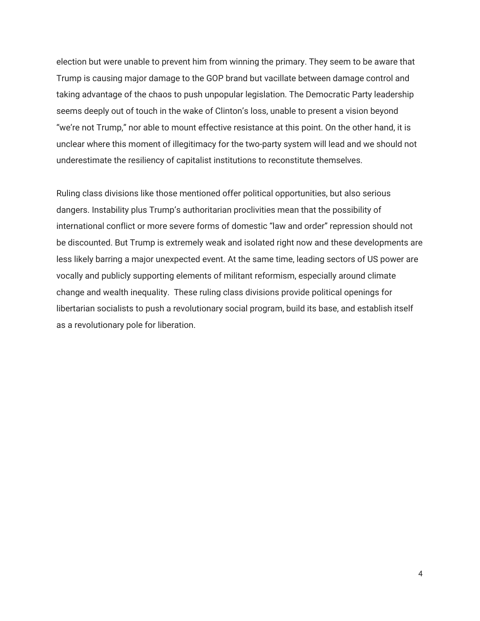election but were unable to prevent him from winning the primary. They seem to be aware that Trump is causing major damage to the GOP brand but vacillate between damage control and taking advantage of the chaos to push unpopular legislation. The Democratic Party leadership seems deeply out of touch in the wake of Clinton's loss, unable to present a vision beyond "we're not Trump," nor able to mount effective resistance at this point. On the other hand, it is unclear where this moment of illegitimacy for the two-party system will lead and we should not underestimate the resiliency of capitalist institutions to reconstitute themselves.

Ruling class divisions like those mentioned offer political opportunities, but also serious dangers. Instability plus Trump's authoritarian proclivities mean that the possibility of international conflict or more severe forms of domestic "law and order" repression should not be discounted. But Trump is extremely weak and isolated right now and these developments are less likely barring a major unexpected event. At the same time, leading sectors of US power are vocally and publicly supporting elements of militant reformism, especially around climate change and wealth inequality. These ruling class divisions provide political openings for libertarian socialists to push a revolutionary social program, build its base, and establish itself as a revolutionary pole for liberation.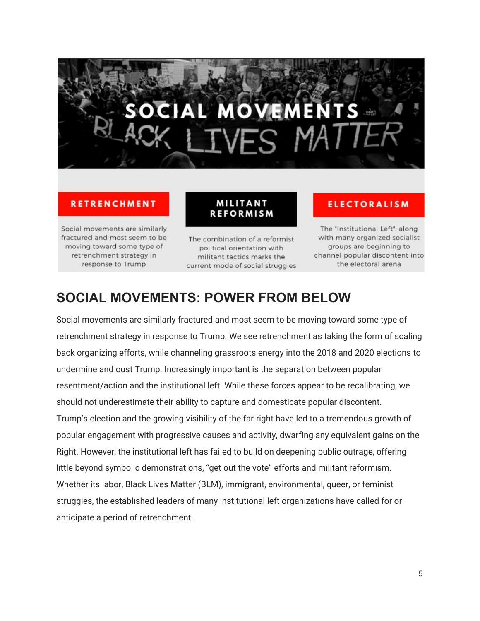# **OVEM**

### **RETRENCHMENT**

Social movements are similarly fractured and most seem to be moving toward some type of retrenchment strategy in response to Trump

The combination of a reformist political orientation with militant tactics marks the current mode of social struggles

**MILITANT** 

**REFORMISM** 

## **ELECTORALISM**

The "Institutional Left", along with many organized socialist groups are beginning to channel popular discontent into the electoral arena

## **SOCIAL MOVEMENTS: POWER FROM BELOW**

Social movements are similarly fractured and most seem to be moving toward some type of retrenchment strategy in response to Trump. We see retrenchment as taking the form of scaling back organizing efforts, while channeling grassroots energy into the 2018 and 2020 elections to undermine and oust Trump. Increasingly important is the separation between popular resentment/action and the institutional left. While these forces appear to be recalibrating, we should not underestimate their ability to capture and domesticate popular discontent. Trump's election and the growing visibility of the far-right have led to a tremendous growth of popular engagement with progressive causes and activity, dwarfing any equivalent gains on the Right. However, the institutional left has failed to build on deepening public outrage, offering little beyond symbolic demonstrations, "get out the vote" efforts and militant reformism. Whether its labor, Black Lives Matter (BLM), immigrant, environmental, queer, or feminist struggles, the established leaders of many institutional left organizations have called for or anticipate a period of retrenchment.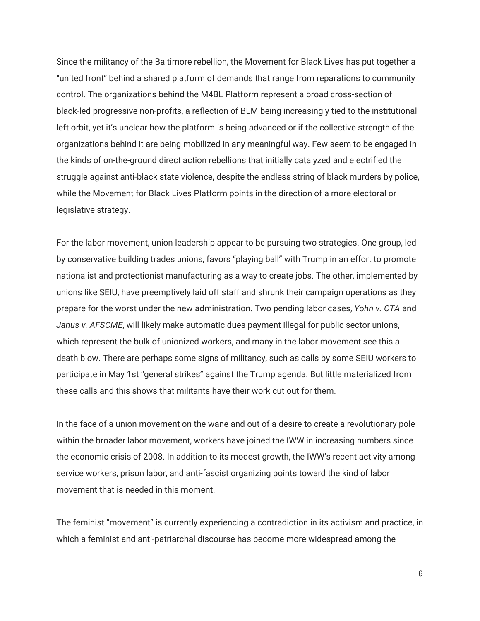Since the militancy of the Baltimore rebellion, the Movement for Black Lives has put together a "united front" behind a shared platform of demands that range from reparations to community control. The organizations behind the M4BL Platform represent a broad cross-section of black-led progressive non-profits, a reflection of BLM being increasingly tied to the institutional left orbit, yet it's unclear how the platform is being advanced or if the collective strength of the organizations behind it are being mobilized in any meaningful way. Few seem to be engaged in the kinds of on-the-ground direct action rebellions that initially catalyzed and electrified the struggle against anti-black state violence, despite the endless string of black murders by police, while the Movement for Black Lives Platform points in the direction of a more electoral or legislative strategy.

For the labor movement, union leadership appear to be pursuing two strategies. One group, led by conservative building trades unions, favors "playing ball" with Trump in an effort to promote nationalist and protectionist manufacturing as a way to create jobs. The other, implemented by unions like SEIU, have preemptively laid off staff and shrunk their campaign operations as they prepare for the worst under the new administration. Two pending labor cases, *Yohn v. CTA* and *Janus v. AFSCME*, will likely make automatic dues payment illegal for public sector unions, which represent the bulk of unionized workers, and many in the labor movement see this a death blow. There are perhaps some signs of militancy, such as calls by some SEIU workers to participate in May 1st "general strikes" against the Trump agenda. But little materialized from these calls and this shows that militants have their work cut out for them.

In the face of a union movement on the wane and out of a desire to create a revolutionary pole within the broader labor movement, workers have joined the IWW in increasing numbers since the economic crisis of 2008. In addition to its modest growth, the IWW's recent activity among service workers, prison labor, and anti-fascist organizing points toward the kind of labor movement that is needed in this moment.

The feminist "movement" is currently experiencing a contradiction in its activism and practice, in which a feminist and anti-patriarchal discourse has become more widespread among the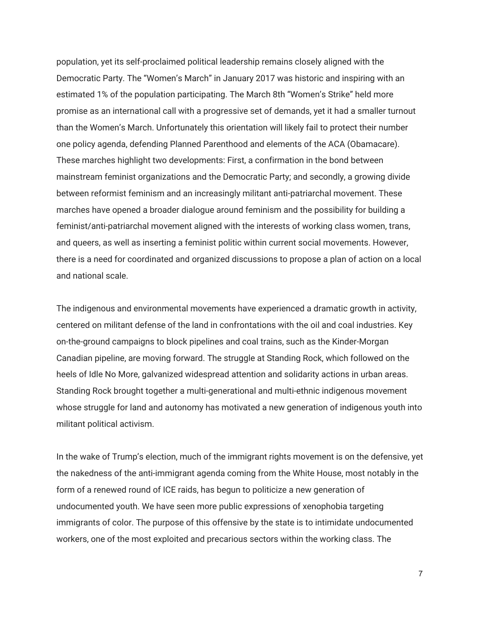population, yet its self-proclaimed political leadership remains closely aligned with the Democratic Party. The "Women's March" in January 2017 was historic and inspiring with an estimated 1% of the population participating. The March 8th "Women's Strike" held more promise as an international call with a progressive set of demands, yet it had a smaller turnout than the Women's March. Unfortunately this orientation will likely fail to protect their number one policy agenda, defending Planned Parenthood and elements of the ACA (Obamacare). These marches highlight two developments: First, a confirmation in the bond between mainstream feminist organizations and the Democratic Party; and secondly, a growing divide between reformist feminism and an increasingly militant anti-patriarchal movement. These marches have opened a broader dialogue around feminism and the possibility for building a feminist/anti-patriarchal movement aligned with the interests of working class women, trans, and queers, as well as inserting a feminist politic within current social movements. However, there is a need for coordinated and organized discussions to propose a plan of action on a local and national scale.

The indigenous and environmental movements have experienced a dramatic growth in activity, centered on militant defense of the land in confrontations with the oil and coal industries. Key on-the-ground campaigns to block pipelines and coal trains, such as the Kinder-Morgan Canadian pipeline, are moving forward. The struggle at Standing Rock, which followed on the heels of Idle No More, galvanized widespread attention and solidarity actions in urban areas. Standing Rock brought together a multi-generational and multi-ethnic indigenous movement whose struggle for land and autonomy has motivated a new generation of indigenous youth into militant political activism.

In the wake of Trump's election, much of the immigrant rights movement is on the defensive, yet the nakedness of the anti-immigrant agenda coming from the White House, most notably in the form of a renewed round of ICE raids, has begun to politicize a new generation of undocumented youth. We have seen more public expressions of xenophobia targeting immigrants of color. The purpose of this offensive by the state is to intimidate undocumented workers, one of the most exploited and precarious sectors within the working class. The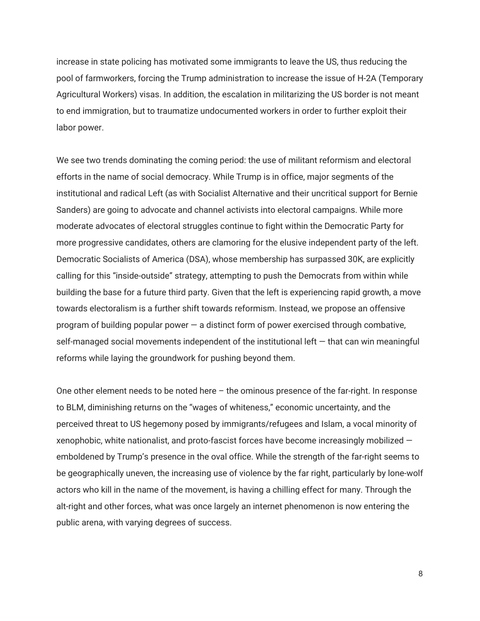increase in state policing has motivated some immigrants to leave the US, thus reducing the pool of farmworkers, forcing the Trump administration to increase the issue of H-2A (Temporary Agricultural Workers) visas. In addition, the escalation in militarizing the US border is not meant to end immigration, but to traumatize undocumented workers in order to further exploit their labor power.

We see two trends dominating the coming period: the use of militant reformism and electoral efforts in the name of social democracy. While Trump is in office, major segments of the institutional and radical Left (as with Socialist Alternative and their uncritical support for Bernie Sanders) are going to advocate and channel activists into electoral campaigns. While more moderate advocates of electoral struggles continue to fight within the Democratic Party for more progressive candidates, others are clamoring for the elusive independent party of the left. Democratic Socialists of America (DSA), whose membership has surpassed 30K, are explicitly calling for this "inside-outside" strategy, attempting to push the Democrats from within while building the base for a future third party. Given that the left is experiencing rapid growth, a move towards electoralism is a further shift towards reformism. Instead, we propose an offensive program of building popular power  $-$  a distinct form of power exercised through combative, self-managed social movements independent of the institutional left  $-$  that can win meaningful reforms while laying the groundwork for pushing beyond them.

One other element needs to be noted here  $-$  the ominous presence of the far-right. In response to BLM, diminishing returns on the "wages of whiteness," economic uncertainty, and the perceived threat to US hegemony posed by immigrants/refugees and Islam, a vocal minority of xenophobic, white nationalist, and proto-fascist forces have become increasingly mobilized  $$ emboldened by Trump's presence in the oval office. While the strength of the far-right seems to be geographically uneven, the increasing use of violence by the far right, particularly by lone-wolf actors who kill in the name of the movement, is having a chilling effect for many. Through the alt-right and other forces, what was once largely an internet phenomenon is now entering the public arena, with varying degrees of success.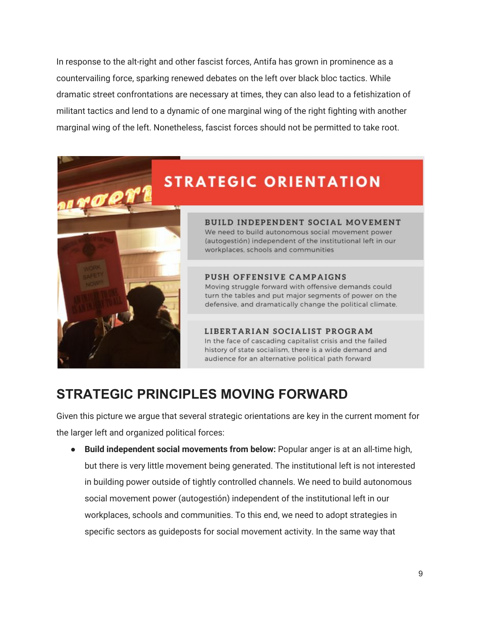In response to the alt-right and other fascist forces, Antifa has grown in prominence as a countervailing force, sparking renewed debates on the left over black bloc tactics. While dramatic street confrontations are necessary at times, they can also lead to a fetishization of militant tactics and lend to a dynamic of one marginal wing of the right fighting with another marginal wing of the left. Nonetheless, fascist forces should not be permitted to take root.

# **STRATEGIC ORIENTATION**



BUILD INDEPENDENT SOCIAL MOVEMENT We need to build autonomous social movement power (autogestión) independent of the institutional left in our workplaces, schools and communities

### PUSH OFFENSIVE CAMPAIGNS

Moving struggle forward with offensive demands could turn the tables and put major segments of power on the defensive, and dramatically change the political climate.

LIBERTARIAN SOCIALIST PROGRAM In the face of cascading capitalist crisis and the failed history of state socialism, there is a wide demand and audience for an alternative political path forward

## **STRATEGIC PRINCIPLES MOVING FORWARD**

Given this picture we argue that several strategic orientations are key in the current moment for the larger left and organized political forces:

● **Build independent social movements from below:** Popular anger is at an all-time high, but there is very little movement being generated. The institutional left is not interested in building power outside of tightly controlled channels. We need to build autonomous social movement power (autogestión) independent of the institutional left in our workplaces, schools and communities. To this end, we need to adopt strategies in specific sectors as guideposts for social movement activity. In the same way that